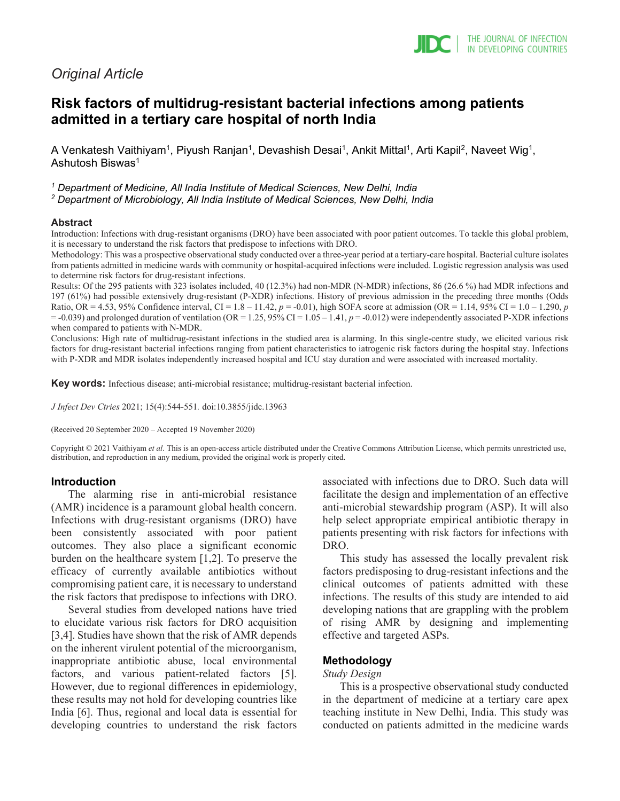# *Original Article*

# **Risk factors of multidrug-resistant bacterial infections among patients admitted in a tertiary care hospital of north India**

A Venkatesh Vaithiyam<sup>1</sup>, Piyush Ranjan<sup>1</sup>, Devashish Desai<sup>1</sup>, Ankit Mittal<sup>1</sup>, Arti Kapil<sup>2</sup>, Naveet Wig<sup>1</sup>, Ashutosh Biswas1

*<sup>1</sup> Department of Medicine, All India Institute of Medical Sciences, New Delhi, India*

*<sup>2</sup> Department of Microbiology, All India Institute of Medical Sciences, New Delhi, India*

#### **Abstract**

Introduction: Infections with drug-resistant organisms (DRO) have been associated with poor patient outcomes. To tackle this global problem, it is necessary to understand the risk factors that predispose to infections with DRO.

Methodology: This was a prospective observational study conducted over a three-year period at a tertiary-care hospital. Bacterial culture isolates from patients admitted in medicine wards with community or hospital-acquired infections were included. Logistic regression analysis was used to determine risk factors for drug-resistant infections.

Results: Of the 295 patients with 323 isolates included, 40 (12.3%) had non-MDR (N-MDR) infections, 86 (26.6 %) had MDR infections and 197 (61%) had possible extensively drug-resistant (P-XDR) infections. History of previous admission in the preceding three months (Odds Ratio, OR = 4.53, 95% Confidence interval, CI =  $1.8 - 11.42$ ,  $p = -0.01$ ), high SOFA score at admission (OR =  $1.14$ , 95% CI =  $1.0 - 1.290$ ,  $p$  $=$  -0.039) and prolonged duration of ventilation (OR = 1.25, 95% CI = 1.05 – 1.41,  $p = -0.012$ ) were independently associated P-XDR infections when compared to patients with N-MDR.

Conclusions: High rate of multidrug-resistant infections in the studied area is alarming. In this single-centre study, we elicited various risk factors for drug-resistant bacterial infections ranging from patient characteristics to iatrogenic risk factors during the hospital stay. Infections with P-XDR and MDR isolates independently increased hospital and ICU stay duration and were associated with increased mortality.

**Key words:** Infectious disease; anti-microbial resistance; multidrug-resistant bacterial infection.

*J Infect Dev Ctries* 2021; 15(4):544-551*.* doi:10.3855/jidc.13963

(Received 20 September 2020 – Accepted 19 November 2020)

Copyright © 2021 Vaithiyam *et al*. This is an open-access article distributed under the Creative Commons Attribution License, which permits unrestricted use, distribution, and reproduction in any medium, provided the original work is properly cited.

# **Introduction**

The alarming rise in anti-microbial resistance (AMR) incidence is a paramount global health concern. Infections with drug-resistant organisms (DRO) have been consistently associated with poor patient outcomes. They also place a significant economic burden on the healthcare system [1,2]. To preserve the efficacy of currently available antibiotics without compromising patient care, it is necessary to understand the risk factors that predispose to infections with DRO.

Several studies from developed nations have tried to elucidate various risk factors for DRO acquisition [3,4]. Studies have shown that the risk of AMR depends on the inherent virulent potential of the microorganism, inappropriate antibiotic abuse, local environmental factors, and various patient-related factors [5]. However, due to regional differences in epidemiology, these results may not hold for developing countries like India [6]. Thus, regional and local data is essential for developing countries to understand the risk factors associated with infections due to DRO. Such data will facilitate the design and implementation of an effective anti-microbial stewardship program (ASP). It will also help select appropriate empirical antibiotic therapy in patients presenting with risk factors for infections with DRO.

This study has assessed the locally prevalent risk factors predisposing to drug-resistant infections and the clinical outcomes of patients admitted with these infections. The results of this study are intended to aid developing nations that are grappling with the problem of rising AMR by designing and implementing effective and targeted ASPs.

# **Methodology**

#### *Study Design*

This is a prospective observational study conducted in the department of medicine at a tertiary care apex teaching institute in New Delhi, India. This study was conducted on patients admitted in the medicine wards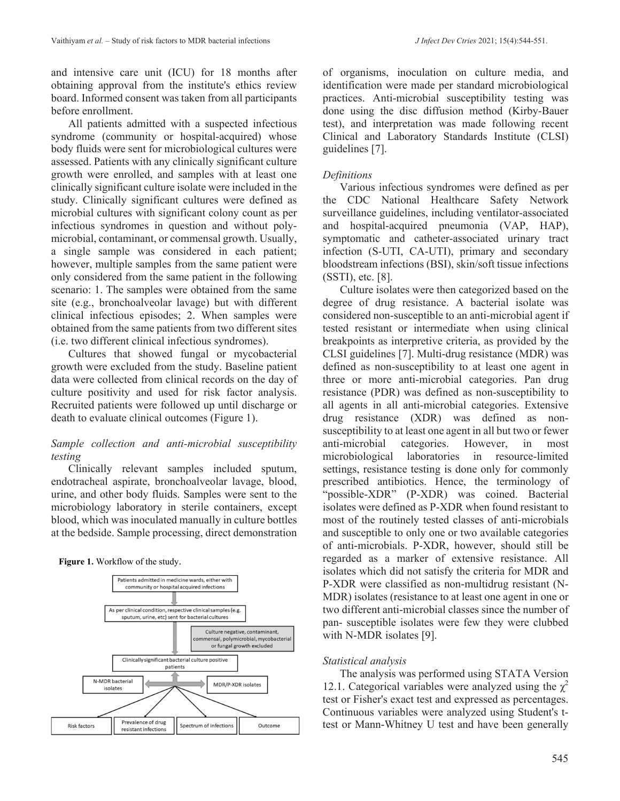and intensive care unit (ICU) for 18 months after obtaining approval from the institute's ethics review board. Informed consent was taken from all participants before enrollment.

All patients admitted with a suspected infectious syndrome (community or hospital-acquired) whose body fluids were sent for microbiological cultures were assessed. Patients with any clinically significant culture growth were enrolled, and samples with at least one clinically significant culture isolate were included in the study. Clinically significant cultures were defined as microbial cultures with significant colony count as per infectious syndromes in question and without polymicrobial, contaminant, or commensal growth. Usually, a single sample was considered in each patient; however, multiple samples from the same patient were only considered from the same patient in the following scenario: 1. The samples were obtained from the same site (e.g., bronchoalveolar lavage) but with different clinical infectious episodes; 2. When samples were obtained from the same patients from two different sites (i.e. two different clinical infectious syndromes).

Cultures that showed fungal or mycobacterial growth were excluded from the study. Baseline patient data were collected from clinical records on the day of culture positivity and used for risk factor analysis. Recruited patients were followed up until discharge or death to evaluate clinical outcomes (Figure 1).

# *Sample collection and anti-microbial susceptibility testing*

Clinically relevant samples included sputum, endotracheal aspirate, bronchoalveolar lavage, blood, urine, and other body fluids. Samples were sent to the microbiology laboratory in sterile containers, except blood, which was inoculated manually in culture bottles at the bedside. Sample processing, direct demonstration

**Figure 1.** Workflow of the study.



of organisms, inoculation on culture media, and identification were made per standard microbiological practices. Anti-microbial susceptibility testing was done using the disc diffusion method (Kirby-Bauer test), and interpretation was made following recent Clinical and Laboratory Standards Institute (CLSI) guidelines [7].

# *Definitions*

Various infectious syndromes were defined as per the CDC National Healthcare Safety Network surveillance guidelines, including ventilator-associated and hospital-acquired pneumonia (VAP, HAP), symptomatic and catheter-associated urinary tract infection (S-UTI, CA-UTI), primary and secondary bloodstream infections (BSI), skin/soft tissue infections (SSTI), etc. [8].

Culture isolates were then categorized based on the degree of drug resistance. A bacterial isolate was considered non-susceptible to an anti-microbial agent if tested resistant or intermediate when using clinical breakpoints as interpretive criteria, as provided by the CLSI guidelines [7]. Multi-drug resistance (MDR) was defined as non-susceptibility to at least one agent in three or more anti-microbial categories. Pan drug resistance (PDR) was defined as non-susceptibility to all agents in all anti-microbial categories. Extensive drug resistance (XDR) was defined as nonsusceptibility to at least one agent in all but two or fewer anti-microbial categories. However, in most microbiological laboratories in resource-limited settings, resistance testing is done only for commonly prescribed antibiotics. Hence, the terminology of "possible-XDR" (P-XDR) was coined. Bacterial isolates were defined as P-XDR when found resistant to most of the routinely tested classes of anti-microbials and susceptible to only one or two available categories of anti-microbials. P-XDR, however, should still be regarded as a marker of extensive resistance. All isolates which did not satisfy the criteria for MDR and P-XDR were classified as non-multidrug resistant (N-MDR) isolates (resistance to at least one agent in one or two different anti-microbial classes since the number of pan- susceptible isolates were few they were clubbed with N-MDR isolates [9].

# *Statistical analysis*

The analysis was performed using STATA Version 12.1. Categorical variables were analyzed using the  $\chi^2$ test or Fisher's exact test and expressed as percentages. Continuous variables were analyzed using Student's ttest or Mann-Whitney U test and have been generally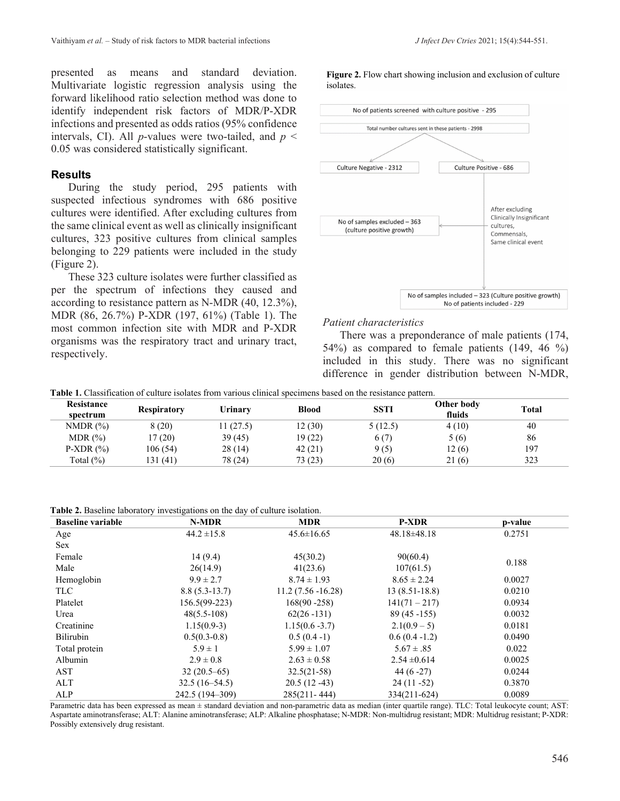presented as means and standard deviation. Multivariate logistic regression analysis using the forward likelihood ratio selection method was done to identify independent risk factors of MDR/P-XDR infections and presented as odds ratios (95% confidence intervals, CI). All *p*-values were two-tailed, and *p* < 0.05 was considered statistically significant.

# **Results**

During the study period, 295 patients with suspected infectious syndromes with 686 positive cultures were identified. After excluding cultures from the same clinical event as well as clinically insignificant cultures, 323 positive cultures from clinical samples belonging to 229 patients were included in the study (Figure 2).

These 323 culture isolates were further classified as per the spectrum of infections they caused and according to resistance pattern as N-MDR (40, 12.3%), MDR (86, 26.7%) P-XDR (197, 61%) (Table 1). The most common infection site with MDR and P-XDR organisms was the respiratory tract and urinary tract, respectively.

**Figure 2.** Flow chart showing inclusion and exclusion of culture isolates.



#### *Patient characteristics*

There was a preponderance of male patients (174, 54%) as compared to female patients (149, 46 %) included in this study. There was no significant difference in gender distribution between N-MDR,

**Table 1.** Classification of culture isolates from various clinical specimens based on the resistance pattern.

| Resistance<br>spectrum | <b>Respiratory</b> | Urinary   | <b>Blood</b> | <b>SSTI</b> | Other body<br>fluids | Total |
|------------------------|--------------------|-----------|--------------|-------------|----------------------|-------|
| NMDR $(\%)$            | 8(20)              | 11 (27.5) | 12 (30)      | 5(12.5)     | 4(10)                | 40    |
| $MDR$ $(\% )$          | 17 (20)            | 39(45)    | 19(22)       | 6(7)        | 5(6)                 | 86    |
| $P-XDR(%)$             | 106 (54)           | 28 (14)   | 42(21)       | 9(5)        | 12(6)                | 197   |
| Total $(\% )$          | 131 (41)           | 78 (24)   | 73 (23)      | 20(6)       | 21(6)                | 323   |

**Table 2.** Baseline laboratory investigations on the day of culture isolation.

| <b>Baseline variable</b> | N-MDR           | <b>MDR</b>           | <b>P-XDR</b>      | p-value |
|--------------------------|-----------------|----------------------|-------------------|---------|
| Age                      | $44.2 \pm 15.8$ | $45.6 \pm 16.65$     | $48.18 \pm 48.18$ | 0.2751  |
| <b>Sex</b>               |                 |                      |                   |         |
| Female                   | 14(9.4)         | 45(30.2)             | 90(60.4)          | 0.188   |
| Male                     | 26(14.9)        | 41(23.6)             | 107(61.5)         |         |
| Hemoglobin               | $9.9 \pm 2.7$   | $8.74 \pm 1.93$      | $8.65 \pm 2.24$   | 0.0027  |
| <b>TLC</b>               | $8.8(5.3-13.7)$ | $11.2(7.56 - 16.28)$ | $13(8.51-18.8)$   | 0.0210  |
| Platelet                 | 156.5(99-223)   | $168(90 - 258)$      | $141(71 - 217)$   | 0.0934  |
| Urea                     | $48(5.5-108)$   | $62(26 - 131)$       | $89(45 - 155)$    | 0.0032  |
| Creatinine               | $1.15(0.9-3)$   | $1.15(0.6 - 3.7)$    | $2.1(0.9-5)$      | 0.0181  |
| <b>Bilirubin</b>         | $0.5(0.3-0.8)$  | $0.5(0.4-1)$         | $0.6(0.4 - 1.2)$  | 0.0490  |
| Total protein            | $5.9 \pm 1$     | $5.99 \pm 1.07$      | $5.67 \pm .85$    | 0.022   |
| Albumin                  | $2.9 \pm 0.8$   | $2.63 \pm 0.58$      | $2.54 \pm 0.614$  | 0.0025  |
| AST                      | $32(20.5-65)$   | $32.5(21-58)$        | 44 $(6-27)$       | 0.0244  |
| ALT                      | $32.5(16-54.5)$ | $20.5(12-43)$        | $24(11 - 52)$     | 0.3870  |
| ALP                      | 242.5 (194-309) | $285(211 - 444)$     | 334(211-624)      | 0.0089  |

Parametric data has been expressed as mean ± standard deviation and non-parametric data as median (inter quartile range). TLC: Total leukocyte count; AST: Aspartate aminotransferase; ALT: Alanine aminotransferase; ALP: Alkaline phosphatase; N-MDR: Non-multidrug resistant; MDR: Multidrug resistant; P-XDR: Possibly extensively drug resistant.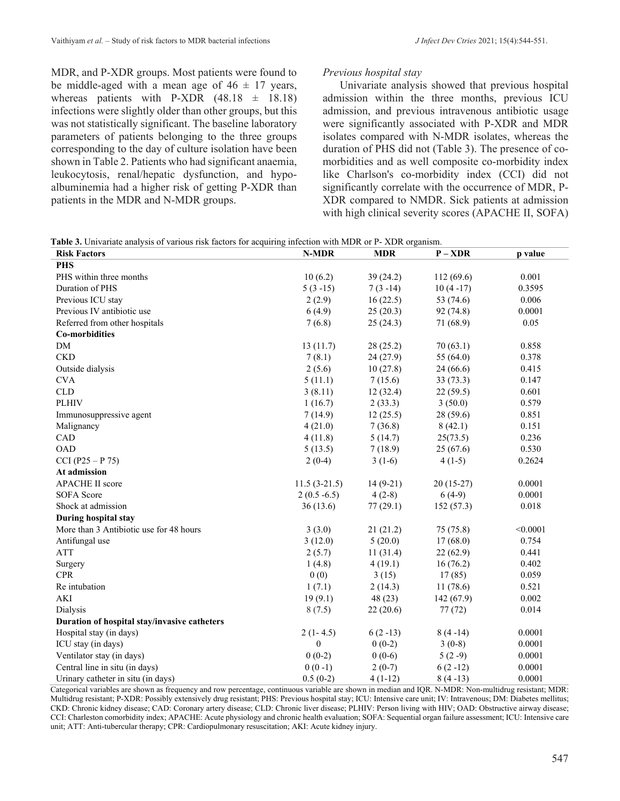MDR, and P-XDR groups. Most patients were found to be middle-aged with a mean age of  $46 \pm 17$  years, whereas patients with P-XDR  $(48.18 \pm 18.18)$ infections were slightly older than other groups, but this was not statistically significant. The baseline laboratory parameters of patients belonging to the three groups corresponding to the day of culture isolation have been shown in Table 2. Patients who had significant anaemia, leukocytosis, renal/hepatic dysfunction, and hypoalbuminemia had a higher risk of getting P-XDR than patients in the MDR and N-MDR groups.

# *Previous hospital stay*

Univariate analysis showed that previous hospital admission within the three months, previous ICU admission, and previous intravenous antibiotic usage were significantly associated with P-XDR and MDR isolates compared with N-MDR isolates, whereas the duration of PHS did not (Table 3). The presence of comorbidities and as well composite co-morbidity index like Charlson's co-morbidity index (CCI) did not significantly correlate with the occurrence of MDR, P-XDR compared to NMDR. Sick patients at admission with high clinical severity scores (APACHE II, SOFA)

|--|

| <b>Risk Factors</b>                          | N-MDR            | <b>MDR</b> | $P - XDR$   | p value  |
|----------------------------------------------|------------------|------------|-------------|----------|
| <b>PHS</b>                                   |                  |            |             |          |
| PHS within three months                      | 10(6.2)          | 39(24.2)   | 112 (69.6)  | 0.001    |
| Duration of PHS                              | $5(3-15)$        | $7(3-14)$  | $10(4-17)$  | 0.3595   |
| Previous ICU stay                            | 2(2.9)           | 16(22.5)   | 53 (74.6)   | 0.006    |
| Previous IV antibiotic use                   | 6(4.9)           | 25(20.3)   | 92 (74.8)   | 0.0001   |
| Referred from other hospitals                | 7(6.8)           | 25(24.3)   | 71 (68.9)   | 0.05     |
| <b>Co-morbidities</b>                        |                  |            |             |          |
| <b>DM</b>                                    | 13(11.7)         | 28 (25.2)  | 70(63.1)    | 0.858    |
| <b>CKD</b>                                   | 7(8.1)           | 24(27.9)   | 55 $(64.0)$ | 0.378    |
| Outside dialysis                             | 2(5.6)           | 10(27.8)   | 24(66.6)    | 0.415    |
| <b>CVA</b>                                   | 5(11.1)          | 7(15.6)    | 33(73.3)    | 0.147    |
| <b>CLD</b>                                   | 3(8.11)          | 12(32.4)   | 22(59.5)    | 0.601    |
| <b>PLHIV</b>                                 | 1(16.7)          | 2(33.3)    | 3(50.0)     | 0.579    |
| Immunosuppressive agent                      | 7(14.9)          | 12(25.5)   | 28 (59.6)   | 0.851    |
| Malignancy                                   | 4(21.0)          | 7(36.8)    | 8(42.1)     | 0.151    |
| CAD                                          | 4(11.8)          | 5(14.7)    | 25(73.5)    | 0.236    |
| <b>OAD</b>                                   | 5(13.5)          | 7(18.9)    | 25(67.6)    | 0.530    |
| $CCI (P25 - P 75)$                           | $2(0-4)$         | $3(1-6)$   | $4(1-5)$    | 0.2624   |
| At admission                                 |                  |            |             |          |
| <b>APACHE II score</b>                       | $11.5(3-21.5)$   | $14(9-21)$ | $20(15-27)$ | 0.0001   |
| <b>SOFA</b> Score                            | $2(0.5 - 6.5)$   | $4(2-8)$   | $6(4-9)$    | 0.0001   |
| Shock at admission                           | 36(13.6)         | 77(29.1)   | 152(57.3)   | 0.018    |
| <b>During hospital stay</b>                  |                  |            |             |          |
| More than 3 Antibiotic use for 48 hours      | 3(3.0)           | 21(21.2)   | 75 (75.8)   | < 0.0001 |
| Antifungal use                               | 3(12.0)          | 5(20.0)    | 17(68.0)    | 0.754    |
| <b>ATT</b>                                   | 2(5.7)           | 11(31.4)   | 22(62.9)    | 0.441    |
| Surgery                                      | 1(4.8)           | 4(19.1)    | 16(76.2)    | 0.402    |
| <b>CPR</b>                                   | 0(0)             | 3(15)      | 17(85)      | 0.059    |
| Re intubation                                | 1(7.1)           | 2(14.3)    | 11(78.6)    | 0.521    |
| AKI                                          | 19(9.1)          | 48(23)     | 142 (67.9)  | 0.002    |
| Dialysis                                     | 8(7.5)           | 22(20.6)   | 77(72)      | 0.014    |
| Duration of hospital stay/invasive catheters |                  |            |             |          |
| Hospital stay (in days)                      | $2(1-4.5)$       | $6(2-13)$  | $8(4-14)$   | 0.0001   |
| ICU stay (in days)                           | $\boldsymbol{0}$ | $0(0-2)$   | $3(0-8)$    | 0.0001   |
| Ventilator stay (in days)                    | $0(0-2)$         | $0(0-6)$   | $5(2-9)$    | 0.0001   |
| Central line in situ (in days)               | $0(0-1)$         | $2(0-7)$   | $6(2-12)$   | 0.0001   |
| Urinary catheter in situ (in days)           | $0.5(0-2)$       | $4(1-12)$  | $8(4-13)$   | 0.0001   |

Categorical variables are shown as frequency and row percentage, continuous variable are shown in median and IQR. N-MDR: Non-multidrug resistant; MDR: Multidrug resistant; P-XDR: Possibly extensively drug resistant; PHS: Previous hospital stay; ICU: Intensive care unit; IV: Intravenous; DM: Diabetes mellitus; CKD: Chronic kidney disease; CAD: Coronary artery disease; CLD: Chronic liver disease; PLHIV: Person living with HIV; OAD: Obstructive airway disease; CCI: Charleston comorbidity index; APACHE: Acute physiology and chronic health evaluation; SOFA: Sequential organ failure assessment; ICU: Intensive care unit; ATT: Anti-tubercular therapy; CPR: Cardiopulmonary resuscitation; AKI: Acute kidney injury.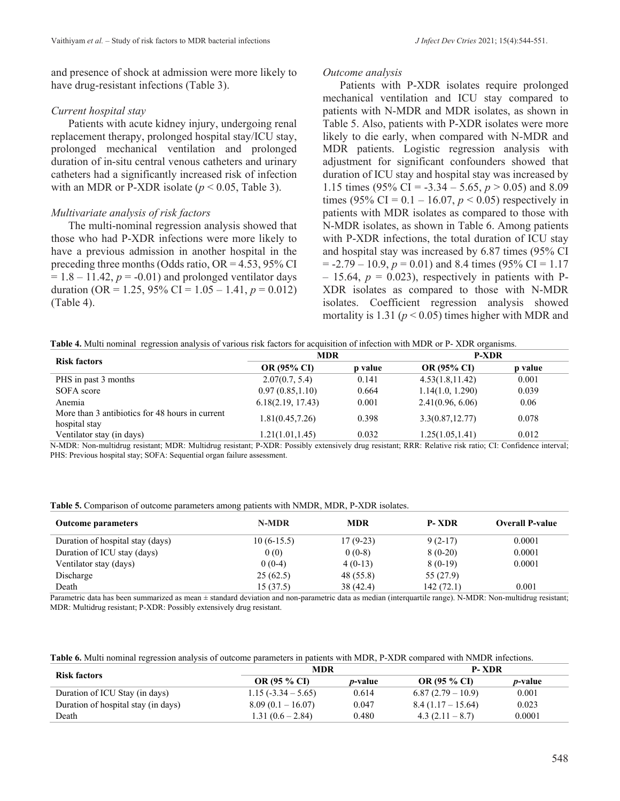and presence of shock at admission were more likely to have drug-resistant infections (Table 3).

## *Current hospital stay*

Patients with acute kidney injury, undergoing renal replacement therapy, prolonged hospital stay/ICU stay, prolonged mechanical ventilation and prolonged duration of in-situ central venous catheters and urinary catheters had a significantly increased risk of infection with an MDR or P-XDR isolate  $(p < 0.05$ , Table 3).

# *Multivariate analysis of risk factors*

The multi-nominal regression analysis showed that those who had P-XDR infections were more likely to have a previous admission in another hospital in the preceding three months (Odds ratio,  $OR = 4.53$ , 95% CI  $= 1.8 - 11.42$ ,  $p = -0.01$ ) and prolonged ventilator days duration (OR = 1.25, 95% CI =  $1.05 - 1.41$ ,  $p = 0.012$ ) (Table 4).

## *Outcome analysis*

Patients with P-XDR isolates require prolonged mechanical ventilation and ICU stay compared to patients with N-MDR and MDR isolates, as shown in Table 5. Also, patients with P-XDR isolates were more likely to die early, when compared with N-MDR and MDR patients. Logistic regression analysis with adjustment for significant confounders showed that duration of ICU stay and hospital stay was increased by 1.15 times (95% CI = -3.34 – 5.65,  $p > 0.05$ ) and 8.09 times (95% CI =  $0.1 - 16.07$ ,  $p < 0.05$ ) respectively in patients with MDR isolates as compared to those with N-MDR isolates, as shown in Table 6. Among patients with P-XDR infections, the total duration of ICU stay and hospital stay was increased by 6.87 times (95% CI  $= -2.79 - 10.9$ ,  $p = 0.01$ ) and 8.4 times (95% CI = 1.17  $-15.64$ ,  $p = 0.023$ ), respectively in patients with P-XDR isolates as compared to those with N-MDR isolates. Coefficient regression analysis showed mortality is 1.31 ( $p < 0.05$ ) times higher with MDR and

| Table 4. Multi nominal regression analysis of various risk factors for acquisition of infection with MDR or P-XDR organisms. |  |
|------------------------------------------------------------------------------------------------------------------------------|--|
|------------------------------------------------------------------------------------------------------------------------------|--|

| <b>Risk factors</b>                                              | <b>MDR</b>         |         | <b>P-XDR</b>       |         |
|------------------------------------------------------------------|--------------------|---------|--------------------|---------|
|                                                                  | <b>OR (95% CI)</b> | p value | <b>OR (95% CI)</b> | p value |
| PHS in past 3 months                                             | 2.07(0.7, 5.4)     | 0.141   | 4.53(1.8, 11.42)   | 0.001   |
| SOFA score                                                       | 0.97(0.85, 1.10)   | 0.664   | 1.14(1.0, 1.290)   | 0.039   |
| Anemia                                                           | 6.18(2.19, 17.43)  | 0.001   | 2.41(0.96, 6.06)   | 0.06    |
| More than 3 antibiotics for 48 hours in current<br>hospital stay | 1.81(0.45,7.26)    | 0.398   | 3.3(0.87, 12.77)   | 0.078   |
| Ventilator stay (in days)                                        | 1.21(1.01, 1.45)   | 0.032   | 1.25(1.05, 1.41)   | 0.012   |

N-MDR: Non-multidrug resistant; MDR: Multidrug resistant; P-XDR: Possibly extensively drug resistant; RRR: Relative risk ratio; CI: Confidence interval; PHS: Previous hospital stay; SOFA: Sequential organ failure assessment.

**Table 5.** Comparison of outcome parameters among patients with NMDR, MDR, P-XDR isolates.

| <b>Outcome parameters</b>        | N-MDR         | <b>MDR</b> | <b>P-XDR</b>   | <b>Overall P-value</b> |
|----------------------------------|---------------|------------|----------------|------------------------|
| Duration of hospital stay (days) | $10(6-15.5)$  | $17(9-23)$ | $9(2-17)$      | 0.0001                 |
| Duration of ICU stay (days)      | 0(0)          | $0(0-8)$   | $8(0-20)$      | 0.0001                 |
| Ventilator stay (days)           | $0(0-4)$      | $4(0-13)$  | $8(0-19)$      | 0.0001                 |
| Discharge                        | 25(62.5)      | 48 (55.8)  | 55 (27.9)      |                        |
| Death<br>$\sim$ $\sim$ $\sim$    | 15(37.5)<br>. | 38 (42.4)  | 142(72.1)<br>. | 0.001<br>.             |

Parametric data has been summarized as mean ± standard deviation and non-parametric data as median (interquartile range). N-MDR: Non-multidrug resistant; MDR: Multidrug resistant; P-XDR: Possibly extensively drug resistant.

| <b>Table 6.</b> Multi nominal regression analysis of outcome parameters in patients with MDR, P-XDR compared with NMDR infections. |  |  |  |  |
|------------------------------------------------------------------------------------------------------------------------------------|--|--|--|--|
|------------------------------------------------------------------------------------------------------------------------------------|--|--|--|--|

|                                     | MDR                  |                 | <b>P-XDR</b>      |                 |
|-------------------------------------|----------------------|-----------------|-------------------|-----------------|
| <b>Risk factors</b>                 | <b>OR (95 % CI)</b>  | <i>p</i> -value | OR (95 % CI)      | <i>p</i> -value |
| Duration of ICU Stay (in days)      | $1.15(-3.34 - 5.65)$ | 0.614           | $6.87(2.79-10.9)$ | 0.001           |
| Duration of hospital stay (in days) | $8.09(0.1 - 16.07)$  | 0.047           | $8.4(1.17-15.64)$ | 0.023           |
| Death                               | $1.31(0.6 - 2.84)$   | 0.480           | $4.3(2.11-8.7)$   | 0.0001          |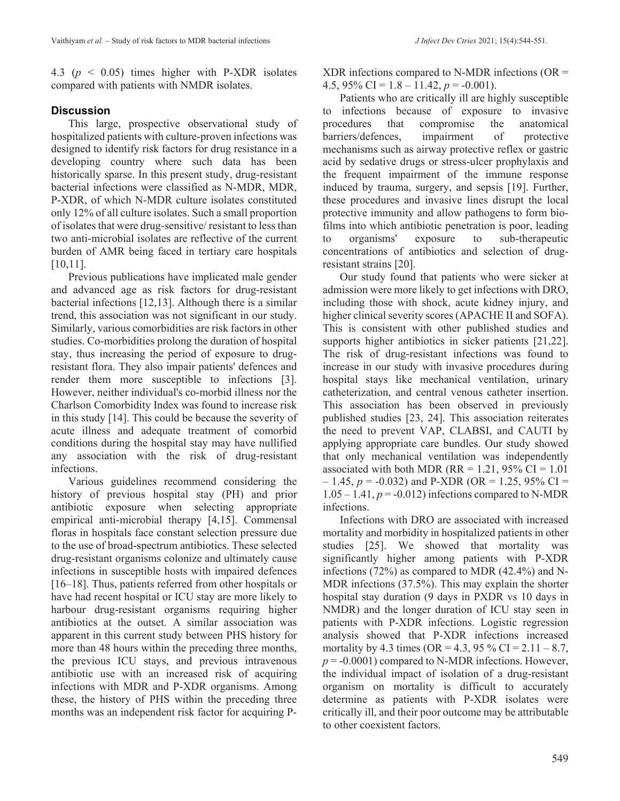4.3 (*p* < 0.05) times higher with P-XDR isolates compared with patients with NMDR isolates.

# **Discussion**

This large, prospective observational study of hospitalized patients with culture-proven infections was designed to identify risk factors for drug resistance in a developing country where such data has been historically sparse. In this present study, drug-resistant bacterial infections were classified as N-MDR, MDR, P-XDR, of which N-MDR culture isolates constituted only 12% of all culture isolates. Such a small proportion of isolates that were drug-sensitive/ resistant to less than two anti-microbial isolates are reflective of the current burden of AMR being faced in tertiary care hospitals [10,11].

Previous publications have implicated male gender and advanced age as risk factors for drug-resistant bacterial infections [12,13]. Although there is a similar trend, this association was not significant in our study. Similarly, various comorbidities are risk factors in other studies. Co-morbidities prolong the duration of hospital stay, thus increasing the period of exposure to drugresistant flora. They also impair patients' defences and render them more susceptible to infections [3]. However, neither individual's co-morbid illness nor the Charlson Comorbidity Index was found to increase risk in this study [14]. This could be because the severity of acute illness and adequate treatment of comorbid conditions during the hospital stay may have nullified any association with the risk of drug-resistant infections.

Various guidelines recommend considering the history of previous hospital stay (PH) and prior antibiotic exposure when selecting appropriate empirical anti-microbial therapy [4,15]. Commensal floras in hospitals face constant selection pressure due to the use of broad-spectrum antibiotics. These selected drug-resistant organisms colonize and ultimately cause infections in susceptible hosts with impaired defences [16–18]. Thus, patients referred from other hospitals or have had recent hospital or ICU stay are more likely to harbour drug-resistant organisms requiring higher antibiotics at the outset. A similar association was apparent in this current study between PHS history for more than 48 hours within the preceding three months, the previous ICU stays, and previous intravenous antibiotic use with an increased risk of acquiring infections with MDR and P-XDR organisms. Among these, the history of PHS within the preceding three months was an independent risk factor for acquiring P-  $XDR$  infections compared to N-MDR infections ( $OR =$ 4.5,  $95\%$  CI = 1.8 – 11.42,  $p = -0.001$ ).

Patients who are critically ill are highly susceptible to infections because of exposure to invasive procedures that compromise the anatomical barriers/defences, impairment of protective mechanisms such as airway protective reflex or gastric acid by sedative drugs or stress-ulcer prophylaxis and the frequent impairment of the immune response induced by trauma, surgery, and sepsis [19]. Further, these procedures and invasive lines disrupt the local protective immunity and allow pathogens to form biofilms into which antibiotic penetration is poor, leading to organisms' exposure to sub-therapeutic concentrations of antibiotics and selection of drugresistant strains [20].

Our study found that patients who were sicker at admission were more likely to get infections with DRO, including those with shock, acute kidney injury, and higher clinical severity scores (APACHE II and SOFA). This is consistent with other published studies and supports higher antibiotics in sicker patients [21,22]. The risk of drug-resistant infections was found to increase in our study with invasive procedures during hospital stays like mechanical ventilation, urinary catheterization, and central venous catheter insertion. This association has been observed in previously published studies [23, 24]. This association reiterates the need to prevent VAP, CLABSI, and CAUTI by applying appropriate care bundles. Our study showed that only mechanical ventilation was independently associated with both MDR ( $RR = 1.21$ , 95% CI = 1.01  $-1.45$ ,  $p = -0.032$ ) and P-XDR (OR = 1.25, 95% CI =  $1.05 - 1.41$ ,  $p = -0.012$ ) infections compared to N-MDR infections.

Infections with DRO are associated with increased mortality and morbidity in hospitalized patients in other studies [25]. We showed that mortality was significantly higher among patients with P-XDR infections (72%) as compared to MDR (42.4%) and N-MDR infections (37.5%). This may explain the shorter hospital stay duration (9 days in PXDR vs 10 days in NMDR) and the longer duration of ICU stay seen in patients with P-XDR infections. Logistic regression analysis showed that P-XDR infections increased mortality by 4.3 times (OR = 4.3, 95 % CI =  $2.11 - 8.7$ ,  $p = -0.0001$ ) compared to N-MDR infections. However, the individual impact of isolation of a drug-resistant organism on mortality is difficult to accurately determine as patients with P-XDR isolates were critically ill, and their poor outcome may be attributable to other coexistent factors.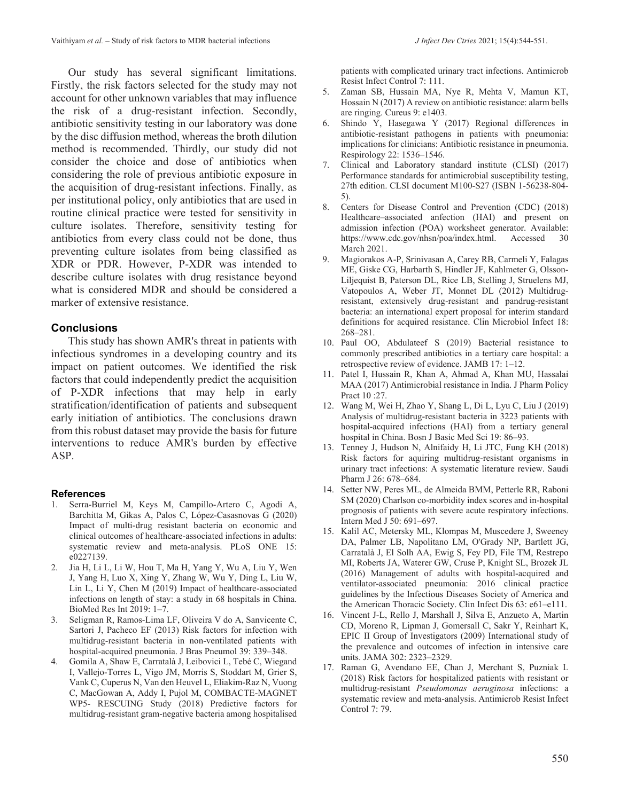Our study has several significant limitations. Firstly, the risk factors selected for the study may not account for other unknown variables that may influence the risk of a drug-resistant infection. Secondly, antibiotic sensitivity testing in our laboratory was done by the disc diffusion method, whereas the broth dilution method is recommended. Thirdly, our study did not consider the choice and dose of antibiotics when considering the role of previous antibiotic exposure in the acquisition of drug-resistant infections. Finally, as per institutional policy, only antibiotics that are used in routine clinical practice were tested for sensitivity in culture isolates. Therefore, sensitivity testing for antibiotics from every class could not be done, thus preventing culture isolates from being classified as XDR or PDR. However, P-XDR was intended to describe culture isolates with drug resistance beyond what is considered MDR and should be considered a marker of extensive resistance.

# **Conclusions**

This study has shown AMR's threat in patients with infectious syndromes in a developing country and its impact on patient outcomes. We identified the risk factors that could independently predict the acquisition of P-XDR infections that may help in early stratification/identification of patients and subsequent early initiation of antibiotics. The conclusions drawn from this robust dataset may provide the basis for future interventions to reduce AMR's burden by effective ASP.

#### **References**

- 1. Serra-Burriel M, Keys M, Campillo-Artero C, Agodi A, Barchitta M, Gikas A, Palos C, López-Casasnovas G (2020) Impact of multi-drug resistant bacteria on economic and clinical outcomes of healthcare-associated infections in adults: systematic review and meta-analysis. PLoS ONE 15: e0227139.
- 2. Jia H, Li L, Li W, Hou T, Ma H, Yang Y, Wu A, Liu Y, Wen J, Yang H, Luo X, Xing Y, Zhang W, Wu Y, Ding L, Liu W, Lin L, Li Y, Chen M (2019) Impact of healthcare-associated infections on length of stay: a study in 68 hospitals in China. BioMed Res Int 2019: 1–7.
- 3. Seligman R, Ramos-Lima LF, Oliveira V do A, Sanvicente C, Sartori J, Pacheco EF (2013) Risk factors for infection with multidrug-resistant bacteria in non-ventilated patients with hospital-acquired pneumonia. J Bras Pneumol 39: 339–348.
- 4. Gomila A, Shaw E, Carratalà J, Leibovici L, Tebé C, Wiegand I, Vallejo-Torres L, Vigo JM, Morris S, Stoddart M, Grier S, Vank C, Cuperus N, Van den Heuvel L, Eliakim-Raz N, Vuong C, MacGowan A, Addy I, Pujol M, COMBACTE-MAGNET WP5- RESCUING Study (2018) Predictive factors for multidrug-resistant gram-negative bacteria among hospitalised

patients with complicated urinary tract infections. Antimicrob Resist Infect Control 7: 111.

- 5. Zaman SB, Hussain MA, Nye R, Mehta V, Mamun KT, Hossain N (2017) A review on antibiotic resistance: alarm bells are ringing. Cureus 9: e1403.
- 6. Shindo Y, Hasegawa Y (2017) Regional differences in antibiotic-resistant pathogens in patients with pneumonia: implications for clinicians: Antibiotic resistance in pneumonia. Respirology 22: 1536–1546.
- 7. Clinical and Laboratory standard institute (CLSI) (2017) Performance standards for antimicrobial susceptibility testing, 27th edition. CLSI document M100-S27 (ISBN 1-56238-804- 5).
- 8. Centers for Disease Control and Prevention (CDC) (2018) Healthcare–associated anfection (HAI) and present on admission infection (POA) worksheet generator. Available: https://www.cdc.gov/nhsn/poa/index.html. Accessed 30 March 2021.
- 9. Magiorakos A-P, Srinivasan A, Carey RB, Carmeli Y, Falagas ME, Giske CG, Harbarth S, Hindler JF, Kahlmeter G, Olsson-Liljequist B, Paterson DL, Rice LB, Stelling J, Struelens MJ, Vatopoulos A, Weber JT, Monnet DL (2012) Multidrugresistant, extensively drug-resistant and pandrug-resistant bacteria: an international expert proposal for interim standard definitions for acquired resistance. Clin Microbiol Infect 18: 268–281.
- 10. Paul OO, Abdulateef S (2019) Bacterial resistance to commonly prescribed antibiotics in a tertiary care hospital: a retrospective review of evidence. JAMB 17: 1–12.
- 11. Patel I, Hussain R, Khan A, Ahmad A, Khan MU, Hassalai MAA (2017) Antimicrobial resistance in India. J Pharm Policy Pract 10 :27.
- 12. Wang M, Wei H, Zhao Y, Shang L, Di L, Lyu C, Liu J (2019) Analysis of multidrug-resistant bacteria in 3223 patients with hospital-acquired infections (HAI) from a tertiary general hospital in China. Bosn J Basic Med Sci 19: 86–93.
- 13. Tenney J, Hudson N, Alnifaidy H, Li JTC, Fung KH (2018) Risk factors for aquiring multidrug-resistant organisms in urinary tract infections: A systematic literature review. Saudi Pharm J 26: 678–684.
- 14. Setter NW, Peres ML, de Almeida BMM, Petterle RR, Raboni SM (2020) Charlson co-morbidity index scores and in-hospital prognosis of patients with severe acute respiratory infections. Intern Med J 50: 691–697.
- 15. Kalil AC, Metersky ML, Klompas M, Muscedere J, Sweeney DA, Palmer LB, Napolitano LM, O'Grady NP, Bartlett JG, Carratalà J, El Solh AA, Ewig S, Fey PD, File TM, Restrepo MI, Roberts JA, Waterer GW, Cruse P, Knight SL, Brozek JL (2016) Management of adults with hospital-acquired and ventilator-associated pneumonia: 2016 clinical practice guidelines by the Infectious Diseases Society of America and the American Thoracic Society. Clin Infect Dis 63: e61–e111.
- 16. Vincent J-L, Rello J, Marshall J, Silva E, Anzueto A, Martin CD, Moreno R, Lipman J, Gomersall C, Sakr Y, Reinhart K, EPIC II Group of Investigators (2009) International study of the prevalence and outcomes of infection in intensive care units. JAMA 302: 2323–2329.
- 17. Raman G, Avendano EE, Chan J, Merchant S, Puzniak L (2018) Risk factors for hospitalized patients with resistant or multidrug-resistant *Pseudomonas aeruginosa* infections: a systematic review and meta-analysis. Antimicrob Resist Infect Control 7: 79.